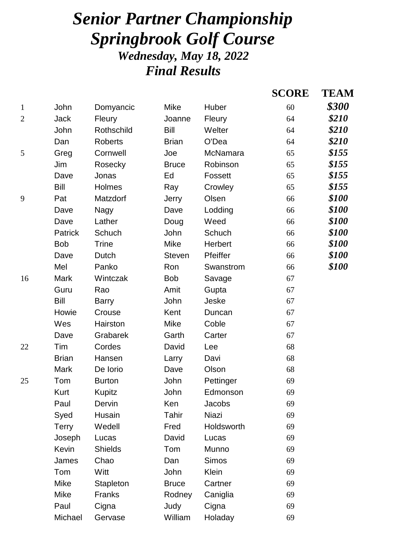## *Senior Partner Championship Springbrook Golf Course Wednesday, May 18, 2022 Final Results*

|                |              |                  |               |              | <b>SCORE</b> | <b>TEAM</b> |
|----------------|--------------|------------------|---------------|--------------|--------------|-------------|
| $\mathbf{1}$   | John         | Domyancic        | <b>Mike</b>   | Huber        | 60           | \$300       |
| $\overline{c}$ | <b>Jack</b>  | Fleury           | Joanne        | Fleury       | 64           | \$210       |
|                | John         | Rothschild       | Bill          | Welter       | 64           | \$210       |
|                | Dan          | <b>Roberts</b>   | <b>Brian</b>  | O'Dea        | 64           | \$210       |
| 5              | Greg         | Cornwell         | Joe           | McNamara     | 65           | \$155       |
|                | Jim          | Rosecky          | <b>Bruce</b>  | Robinson     | 65           | \$155       |
|                | Dave         | Jonas            | Ed            | Fossett      | 65           | \$155       |
|                | Bill         | Holmes           | Ray           | Crowley      | 65           | \$155       |
| 9              | Pat          | Matzdorf         | Jerry         | Olsen        | 66           | \$100       |
|                | Dave         | <b>Nagy</b>      | Dave          | Lodding      | 66           | \$100       |
|                | Dave         | Lather           | Doug          | Weed         | 66           | \$100       |
|                | Patrick      | Schuch           | John          | Schuch       | 66           | \$100       |
|                | <b>Bob</b>   | <b>Trine</b>     | <b>Mike</b>   | Herbert      | 66           | \$100       |
|                | Dave         | Dutch            | <b>Steven</b> | Pfeiffer     | 66           | \$100       |
|                | Mel          | Panko            | Ron           | Swanstrom    | 66           | \$100       |
| 16             | <b>Mark</b>  | Wintczak         | <b>Bob</b>    | Savage       | 67           |             |
|                | Guru         | Rao              | Amit          | Gupta        | 67           |             |
|                | <b>Bill</b>  | <b>Barry</b>     | John          | Jeske        | 67           |             |
|                | Howie        | Crouse           | Kent          | Duncan       | 67           |             |
|                | Wes          | Hairston         | <b>Mike</b>   | Coble        | 67           |             |
|                | Dave         | Grabarek         | Garth         | Carter       | 67           |             |
| 22             | Tim          | Cordes           | David         | Lee          | 68           |             |
|                | <b>Brian</b> | Hansen           | Larry         | Davi         | 68           |             |
|                | Mark         | De Iorio         | Dave          | Olson        | 68           |             |
| 25             | Tom          | <b>Burton</b>    | John          | Pettinger    | 69           |             |
|                | Kurt         | Kupitz           | John          | Edmonson     | 69           |             |
|                | Paul         | Dervin           | Ken           | Jacobs       | 69           |             |
|                | Syed         | Husain           | Tahir         | <b>Niazi</b> | 69           |             |
|                | <b>Terry</b> | Wedell           | Fred          | Holdsworth   | 69           |             |
|                | Joseph       | Lucas            | David         | Lucas        | 69           |             |
|                | Kevin        | <b>Shields</b>   | Tom           | Munno        | 69           |             |
|                | James        | Chao             | Dan           | <b>Simos</b> | 69           |             |
|                | Tom          | Witt             | John          | Klein        | 69           |             |
|                | Mike         | <b>Stapleton</b> | <b>Bruce</b>  | Cartner      | 69           |             |
|                | Mike         | Franks           | Rodney        | Caniglia     | 69           |             |
|                | Paul         | Cigna            | Judy          | Cigna        | 69           |             |
|                | Michael      | Gervase          | William       | Holaday      | 69           |             |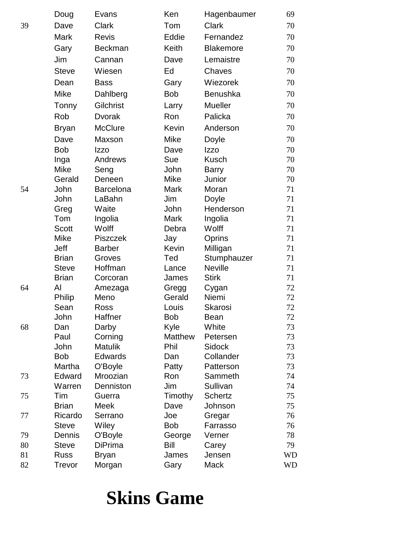|    | Doug           | Evans            | Ken                 | Hagenbaumer      | 69        |
|----|----------------|------------------|---------------------|------------------|-----------|
| 39 | Dave           | Clark            | Tom                 | <b>Clark</b>     | 70        |
|    | <b>Mark</b>    | <b>Revis</b>     | Eddie               | Fernandez        | 70        |
|    | Gary           | <b>Beckman</b>   | Keith               | <b>Blakemore</b> | 70        |
|    | Jim            | Cannan           | Dave                | Lemaistre        | 70        |
|    | <b>Steve</b>   | Wiesen           | Ed                  | Chaves           | 70        |
|    | Dean           | <b>Bass</b>      | Gary                | Wiezorek         | 70        |
|    | <b>Mike</b>    | Dahlberg         | <b>Bob</b>          | <b>Benushka</b>  | 70        |
|    | Tonny          | Gilchrist        | Larry               | <b>Mueller</b>   | 70        |
|    | Rob            | <b>Dvorak</b>    | Ron                 | Palicka          | 70        |
|    | <b>Bryan</b>   | <b>McClure</b>   | Kevin               | Anderson         | 70        |
|    | Dave           | Maxson           | <b>Mike</b>         | Doyle            | 70        |
|    | <b>Bob</b>     | <b>Izzo</b>      | Dave                | <b>Izzo</b>      | 70        |
|    | Inga           | Andrews          | Sue                 | <b>Kusch</b>     | 70        |
|    | Mike           | Seng             | John                | <b>Barry</b>     | 70        |
|    | Gerald         | Deneen           | Mike                | Junior           | 70        |
| 54 | John           | <b>Barcelona</b> | Mark                | Moran            | 71        |
|    | John           | LaBahn           | Jim                 | Doyle            | 71        |
|    | Greg           | Waite            | John                | Henderson        | 71        |
|    | Tom            | Ingolia          | Mark                | Ingolia          | 71        |
|    | <b>Scott</b>   | Wolff            | Debra               | Wolff            | 71        |
|    | Mike           | <b>Piszczek</b>  | Jay                 | Oprins           | 71        |
|    | Jeff           | <b>Barber</b>    | Kevin               | Milligan         | 71        |
|    | <b>Brian</b>   | Groves           | Ted                 | Stumphauzer      | 71        |
|    | <b>Steve</b>   | Hoffman          | Lance               | <b>Neville</b>   | 71        |
|    | <b>Brian</b>   | Corcoran         | James               | <b>Stirk</b>     | 71        |
| 64 | Al             | Amezaga          | Gregg               | Cygan<br>Niemi   | 72        |
|    | Philip<br>Sean | Meno<br>Ross     | Gerald              | Skarosi          | 72<br>72  |
|    | John           | Haffner          | Louis<br><b>Bob</b> | Bean             | 72        |
| 68 | Dan            | Darby            | Kyle                | White            | 73        |
|    | Paul           | Corning          | <b>Matthew</b>      | Petersen         | 73        |
|    | John           | <b>Matulik</b>   | Phil                | Sidock           | 73        |
|    | <b>Bob</b>     | Edwards          | Dan                 | Collander        | 73        |
|    | Martha         | O'Boyle          | Patty               | Patterson        | 73        |
| 73 | Edward         | Mroozian         | Ron                 | Sammeth          | 74        |
|    | Warren         | Denniston        | Jim                 | Sullivan         | 74        |
| 75 | Tim            | Guerra           | Timothy             | <b>Schertz</b>   | 75        |
|    | <b>Brian</b>   | <b>Meek</b>      | Dave                | Johnson          | 75        |
| 77 | Ricardo        | Serrano          | Joe                 | Gregar           | 76        |
|    | <b>Steve</b>   | Wiley            | <b>Bob</b>          | Farrasso         | 76        |
| 79 | Dennis         | O'Boyle          | George              | Verner           | 78        |
| 80 | <b>Steve</b>   | <b>DiPrima</b>   | Bill                | Carey            | 79        |
| 81 | <b>Russ</b>    | <b>Bryan</b>     | James               | Jensen           | <b>WD</b> |
| 82 | Trevor         | Morgan           | Gary                | Mack             | WD        |

# **Skins Game**